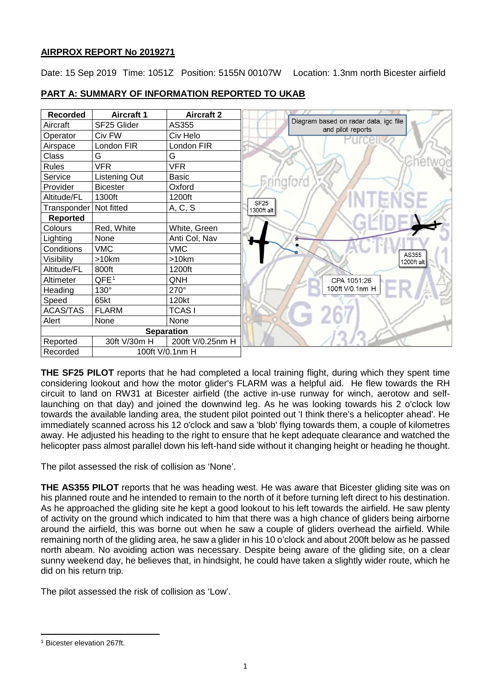## **AIRPROX REPORT No 2019271**

Date: 15 Sep 2019 Time: 1051Z Position: 5155N 00107W Location: 1.3nm north Bicester airfield



**PART A: SUMMARY OF INFORMATION REPORTED TO UKAB**

**THE SF25 PILOT** reports that he had completed a local training flight, during which they spent time considering lookout and how the motor glider's FLARM was a helpful aid. He flew towards the RH circuit to land on RW31 at Bicester airfield (the active in-use runway for winch, aerotow and selflaunching on that day) and joined the downwind leg. As he was looking towards his 2 o'clock low towards the available landing area, the student pilot pointed out 'I think there's a helicopter ahead'. He immediately scanned across his 12 o'clock and saw a 'blob' flying towards them, a couple of kilometres away. He adjusted his heading to the right to ensure that he kept adequate clearance and watched the helicopter pass almost parallel down his left-hand side without it changing height or heading he thought.

The pilot assessed the risk of collision as 'None'.

**THE AS355 PILOT** reports that he was heading west. He was aware that Bicester gliding site was on his planned route and he intended to remain to the north of it before turning left direct to his destination. As he approached the gliding site he kept a good lookout to his left towards the airfield. He saw plenty of activity on the ground which indicated to him that there was a high chance of gliders being airborne around the airfield, this was borne out when he saw a couple of gliders overhead the airfield. While remaining north of the gliding area, he saw a glider in his 10 o'clock and about 200ft below as he passed north abeam. No avoiding action was necessary. Despite being aware of the gliding site, on a clear sunny weekend day, he believes that, in hindsight, he could have taken a slightly wider route, which he did on his return trip.

The pilot assessed the risk of collision as 'Low'.

<span id="page-0-0"></span>l <sup>1</sup> Bicester elevation 267ft.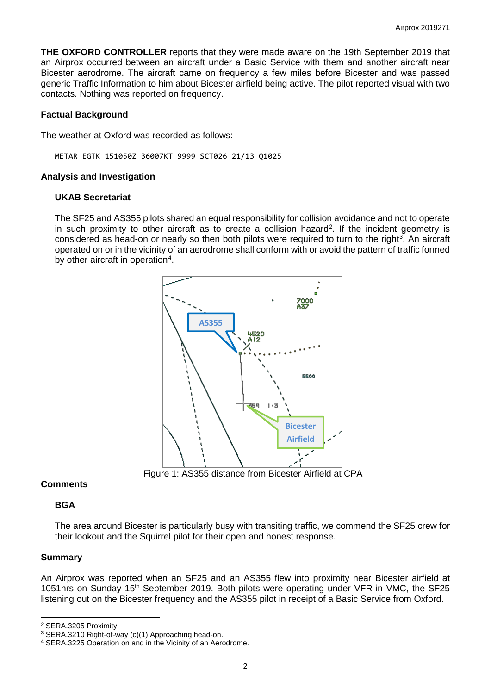**THE OXFORD CONTROLLER** reports that they were made aware on the 19th September 2019 that an Airprox occurred between an aircraft under a Basic Service with them and another aircraft near Bicester aerodrome. The aircraft came on frequency a few miles before Bicester and was passed generic Traffic Information to him about Bicester airfield being active. The pilot reported visual with two contacts. Nothing was reported on frequency.

### **Factual Background**

The weather at Oxford was recorded as follows:

METAR EGTK 151050Z 36007KT 9999 SCT026 21/13 Q1025

### **Analysis and Investigation**

### **UKAB Secretariat**

The SF25 and AS355 pilots shared an equal responsibility for collision avoidance and not to operate in such proximity to other aircraft as to create a collision hazard<sup>[2](#page-1-0)</sup>. If the incident geometry is considered as head-on or nearly so then both pilots were required to turn to the right<sup>[3](#page-1-1)</sup>. An aircraft operated on or in the vicinity of an aerodrome shall conform with or avoid the pattern of traffic formed by other aircraft in operation<sup>[4](#page-1-2)</sup>.



Figure 1: AS355 distance from Bicester Airfield at CPA

## **Comments**

## **BGA**

The area around Bicester is particularly busy with transiting traffic, we commend the SF25 crew for their lookout and the Squirrel pilot for their open and honest response.

## **Summary**

l

An Airprox was reported when an SF25 and an AS355 flew into proximity near Bicester airfield at 1051hrs on Sunday 15<sup>th</sup> September 2019. Both pilots were operating under VFR in VMC, the SF25 listening out on the Bicester frequency and the AS355 pilot in receipt of a Basic Service from Oxford.

<span id="page-1-0"></span><sup>2</sup> SERA.3205 Proximity.

<span id="page-1-1"></span><sup>3</sup> SERA.3210 Right-of-way (c)(1) Approaching head-on.

<span id="page-1-2"></span><sup>4</sup> SERA.3225 Operation on and in the Vicinity of an Aerodrome.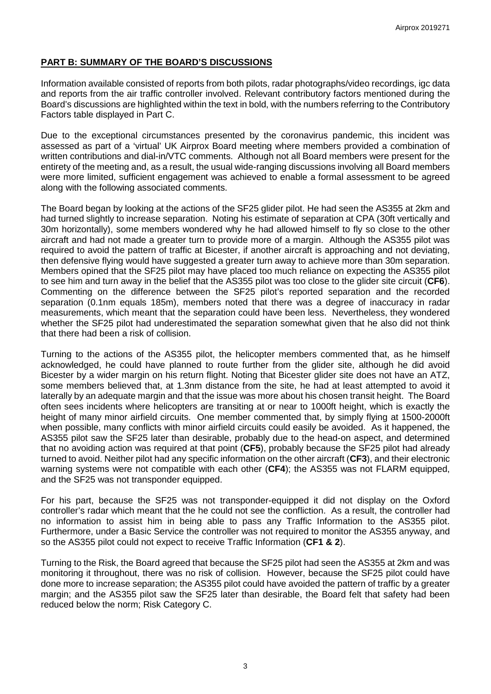## **PART B: SUMMARY OF THE BOARD'S DISCUSSIONS**

Information available consisted of reports from both pilots, radar photographs/video recordings, igc data and reports from the air traffic controller involved. Relevant contributory factors mentioned during the Board's discussions are highlighted within the text in bold, with the numbers referring to the Contributory Factors table displayed in Part C.

Due to the exceptional circumstances presented by the coronavirus pandemic, this incident was assessed as part of a 'virtual' UK Airprox Board meeting where members provided a combination of written contributions and dial-in/VTC comments. Although not all Board members were present for the entirety of the meeting and, as a result, the usual wide-ranging discussions involving all Board members were more limited, sufficient engagement was achieved to enable a formal assessment to be agreed along with the following associated comments.

The Board began by looking at the actions of the SF25 glider pilot. He had seen the AS355 at 2km and had turned slightly to increase separation. Noting his estimate of separation at CPA (30ft vertically and 30m horizontally), some members wondered why he had allowed himself to fly so close to the other aircraft and had not made a greater turn to provide more of a margin. Although the AS355 pilot was required to avoid the pattern of traffic at Bicester, if another aircraft is approaching and not deviating, then defensive flying would have suggested a greater turn away to achieve more than 30m separation. Members opined that the SF25 pilot may have placed too much reliance on expecting the AS355 pilot to see him and turn away in the belief that the AS355 pilot was too close to the glider site circuit (**CF6**). Commenting on the difference between the SF25 pilot's reported separation and the recorded separation (0.1nm equals 185m), members noted that there was a degree of inaccuracy in radar measurements, which meant that the separation could have been less. Nevertheless, they wondered whether the SF25 pilot had underestimated the separation somewhat given that he also did not think that there had been a risk of collision.

Turning to the actions of the AS355 pilot, the helicopter members commented that, as he himself acknowledged, he could have planned to route further from the glider site, although he did avoid Bicester by a wider margin on his return flight. Noting that Bicester glider site does not have an ATZ, some members believed that, at 1.3nm distance from the site, he had at least attempted to avoid it laterally by an adequate margin and that the issue was more about his chosen transit height. The Board often sees incidents where helicopters are transiting at or near to 1000ft height, which is exactly the height of many minor airfield circuits. One member commented that, by simply flying at 1500-2000ft when possible, many conflicts with minor airfield circuits could easily be avoided. As it happened, the AS355 pilot saw the SF25 later than desirable, probably due to the head-on aspect, and determined that no avoiding action was required at that point (**CF5**), probably because the SF25 pilot had already turned to avoid. Neither pilot had any specific information on the other aircraft (**CF3**), and their electronic warning systems were not compatible with each other (**CF4**); the AS355 was not FLARM equipped, and the SF25 was not transponder equipped.

For his part, because the SF25 was not transponder-equipped it did not display on the Oxford controller's radar which meant that the he could not see the confliction. As a result, the controller had no information to assist him in being able to pass any Traffic Information to the AS355 pilot. Furthermore, under a Basic Service the controller was not required to monitor the AS355 anyway, and so the AS355 pilot could not expect to receive Traffic Information (**CF1 & 2**).

Turning to the Risk, the Board agreed that because the SF25 pilot had seen the AS355 at 2km and was monitoring it throughout, there was no risk of collision. However, because the SF25 pilot could have done more to increase separation; the AS355 pilot could have avoided the pattern of traffic by a greater margin; and the AS355 pilot saw the SF25 later than desirable, the Board felt that safety had been reduced below the norm; Risk Category C.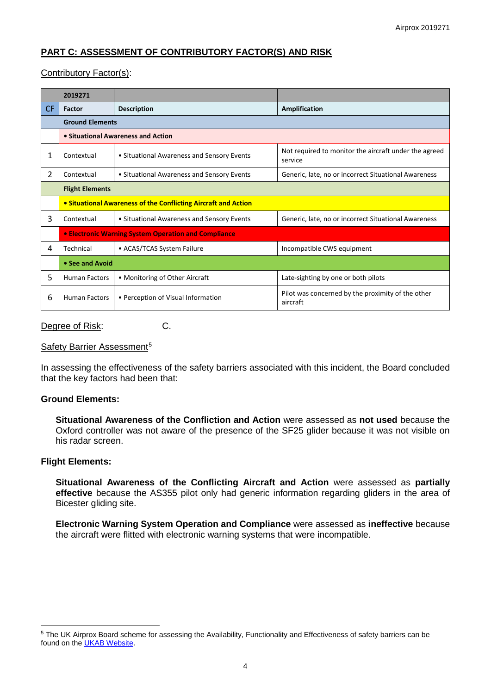# **PART C: ASSESSMENT OF CONTRIBUTORY FACTOR(S) AND RISK**

## Contributory Factor(s):

|     | 2019271                                                        |                                            |                                                                  |
|-----|----------------------------------------------------------------|--------------------------------------------|------------------------------------------------------------------|
| CF. | Factor                                                         | <b>Description</b>                         | Amplification                                                    |
|     | <b>Ground Elements</b>                                         |                                            |                                                                  |
|     | • Situational Awareness and Action                             |                                            |                                                                  |
| 1   | Contextual                                                     | • Situational Awareness and Sensory Events | Not required to monitor the aircraft under the agreed<br>service |
| 2   | Contextual                                                     | • Situational Awareness and Sensory Events | Generic, late, no or incorrect Situational Awareness             |
|     | <b>Flight Elements</b>                                         |                                            |                                                                  |
|     | • Situational Awareness of the Conflicting Aircraft and Action |                                            |                                                                  |
| 3   | Contextual                                                     | • Situational Awareness and Sensory Events | Generic, late, no or incorrect Situational Awareness             |
|     | • Electronic Warning System Operation and Compliance           |                                            |                                                                  |
| 4   | Technical                                                      | • ACAS/TCAS System Failure                 | Incompatible CWS equipment                                       |
|     | • See and Avoid                                                |                                            |                                                                  |
| 5   | <b>Human Factors</b>                                           | • Monitoring of Other Aircraft             | Late-sighting by one or both pilots                              |
| 6   | <b>Human Factors</b>                                           | • Perception of Visual Information         | Pilot was concerned by the proximity of the other<br>aircraft    |

Degree of Risk: C.

### Safety Barrier Assessment<sup>[5](#page-3-0)</sup>

In assessing the effectiveness of the safety barriers associated with this incident, the Board concluded that the key factors had been that:

### **Ground Elements:**

**Situational Awareness of the Confliction and Action** were assessed as **not used** because the Oxford controller was not aware of the presence of the SF25 glider because it was not visible on his radar screen.

### **Flight Elements:**

 $\overline{\phantom{a}}$ 

**Situational Awareness of the Conflicting Aircraft and Action** were assessed as **partially effective** because the AS355 pilot only had generic information regarding gliders in the area of Bicester gliding site.

**Electronic Warning System Operation and Compliance** were assessed as **ineffective** because the aircraft were flitted with electronic warning systems that were incompatible.

<span id="page-3-0"></span><sup>&</sup>lt;sup>5</sup> The UK Airprox Board scheme for assessing the Availability, Functionality and Effectiveness of safety barriers can be found on the [UKAB Website.](http://www.airproxboard.org.uk/Learn-more/Airprox-Barrier-Assessment/)